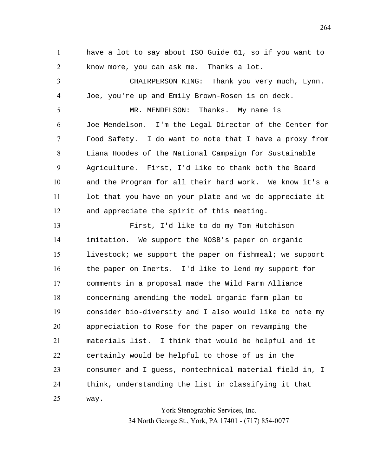have a lot to say about ISO Guide 61, so if you want to know more, you can ask me. Thanks a lot.

CHAIRPERSON KING: Thank you very much, Lynn. Joe, you're up and Emily Brown-Rosen is on deck. 5 MR. MENDELSON: Thanks. My name is

Joe Mendelson. I'm the Legal Director of the Center for Food Safety. I do want to note that I have a proxy from Liana Hoodes of the National Campaign for Sustainable Agriculture. First, I'd like to thank both the Board and the Program for all their hard work. We know it's a lot that you have on your plate and we do appreciate it and appreciate the spirit of this meeting.

First, I'd like to do my Tom Hutchison imitation. We support the NOSB's paper on organic livestock; we support the paper on fishmeal; we support the paper on Inerts. I'd like to lend my support for comments in a proposal made the Wild Farm Alliance concerning amending the model organic farm plan to consider bio-diversity and I also would like to note my appreciation to Rose for the paper on revamping the materials list. I think that would be helpful and it certainly would be helpful to those of us in the consumer and I guess, nontechnical material field in, I think, understanding the list in classifying it that way.

> York Stenographic Services, Inc. 34 North George St., York, PA 17401 - (717) 854-0077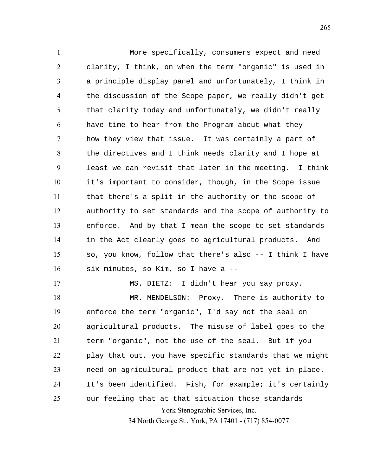More specifically, consumers expect and need clarity, I think, on when the term "organic" is used in a principle display panel and unfortunately, I think in the discussion of the Scope paper, we really didn't get that clarity today and unfortunately, we didn't really have time to hear from the Program about what they -- how they view that issue. It was certainly a part of the directives and I think needs clarity and I hope at least we can revisit that later in the meeting. I think it's important to consider, though, in the Scope issue that there's a split in the authority or the scope of authority to set standards and the scope of authority to enforce. And by that I mean the scope to set standards in the Act clearly goes to agricultural products. And so, you know, follow that there's also -- I think I have six minutes, so Kim, so I have a --

York Stenographic Services, Inc. 34 North George St., York, PA 17401 - (717) 854-0077 MS. DIETZ: I didn't hear you say proxy. 18 MR. MENDELSON: Proxy. There is authority to enforce the term "organic", I'd say not the seal on agricultural products. The misuse of label goes to the term "organic", not the use of the seal. But if you play that out, you have specific standards that we might need on agricultural product that are not yet in place. It's been identified. Fish, for example; it's certainly our feeling that at that situation those standards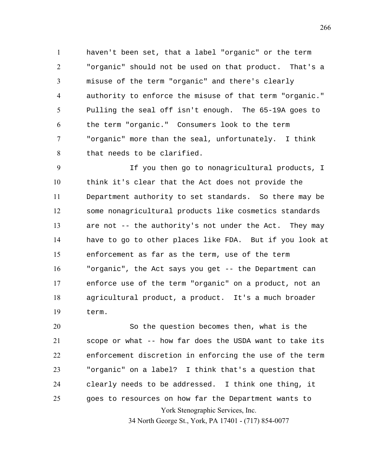haven't been set, that a label "organic" or the term "organic" should not be used on that product. That's a misuse of the term "organic" and there's clearly authority to enforce the misuse of that term "organic." Pulling the seal off isn't enough. The 65-19A goes to the term "organic." Consumers look to the term "organic" more than the seal, unfortunately. I think that needs to be clarified.

If you then go to nonagricultural products, I think it's clear that the Act does not provide the Department authority to set standards. So there may be some nonagricultural products like cosmetics standards are not -- the authority's not under the Act. They may have to go to other places like FDA. But if you look at enforcement as far as the term, use of the term "organic", the Act says you get -- the Department can enforce use of the term "organic" on a product, not an agricultural product, a product. It's a much broader term.

York Stenographic Services, Inc. So the question becomes then, what is the scope or what -- how far does the USDA want to take its enforcement discretion in enforcing the use of the term "organic" on a label? I think that's a question that clearly needs to be addressed. I think one thing, it goes to resources on how far the Department wants to

34 North George St., York, PA 17401 - (717) 854-0077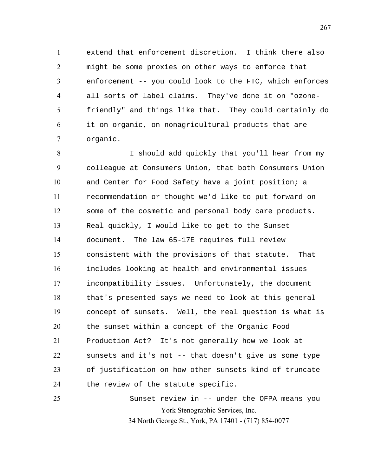extend that enforcement discretion. I think there also might be some proxies on other ways to enforce that enforcement -- you could look to the FTC, which enforces all sorts of label claims. They've done it on "ozone-friendly" and things like that. They could certainly do it on organic, on nonagricultural products that are organic.

I should add quickly that you'll hear from my colleague at Consumers Union, that both Consumers Union and Center for Food Safety have a joint position; a recommendation or thought we'd like to put forward on some of the cosmetic and personal body care products. Real quickly, I would like to get to the Sunset document. The law 65-17E requires full review consistent with the provisions of that statute. That includes looking at health and environmental issues incompatibility issues. Unfortunately, the document that's presented says we need to look at this general concept of sunsets. Well, the real question is what is the sunset within a concept of the Organic Food Production Act? It's not generally how we look at sunsets and it's not -- that doesn't give us some type of justification on how other sunsets kind of truncate 24 the review of the statute specific.

York Stenographic Services, Inc. 34 North George St., York, PA 17401 - (717) 854-0077 Sunset review in -- under the OFPA means you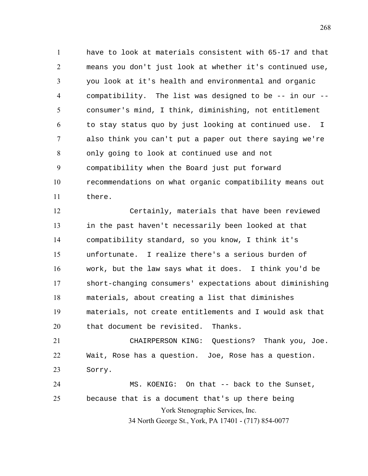have to look at materials consistent with 65-17 and that means you don't just look at whether it's continued use, you look at it's health and environmental and organic compatibility. The list was designed to be -- in our -- consumer's mind, I think, diminishing, not entitlement to stay status quo by just looking at continued use. I also think you can't put a paper out there saying we're only going to look at continued use and not compatibility when the Board just put forward recommendations on what organic compatibility means out there.

Certainly, materials that have been reviewed in the past haven't necessarily been looked at that compatibility standard, so you know, I think it's unfortunate. I realize there's a serious burden of work, but the law says what it does. I think you'd be short-changing consumers' expectations about diminishing materials, about creating a list that diminishes materials, not create entitlements and I would ask that that document be revisited. Thanks.

CHAIRPERSON KING: Questions? Thank you, Joe. Wait, Rose has a question. Joe, Rose has a question. Sorry.

York Stenographic Services, Inc. 34 North George St., York, PA 17401 - (717) 854-0077 MS. KOENIG: On that -- back to the Sunset, because that is a document that's up there being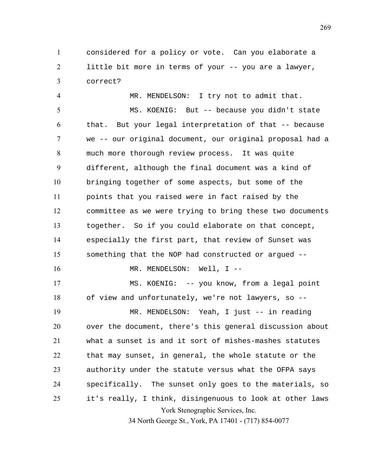considered for a policy or vote. Can you elaborate a little bit more in terms of your -- you are a lawyer, correct?

York Stenographic Services, Inc. 34 North George St., York, PA 17401 - (717) 854-0077 MR. MENDELSON: I try not to admit that. MS. KOENIG: But -- because you didn't state that. But your legal interpretation of that -- because we -- our original document, our original proposal had a much more thorough review process. It was quite different, although the final document was a kind of bringing together of some aspects, but some of the points that you raised were in fact raised by the committee as we were trying to bring these two documents together. So if you could elaborate on that concept, especially the first part, that review of Sunset was something that the NOP had constructed or argued -- 16 MR. MENDELSON: Well, I --MS. KOENIG: -- you know, from a legal point of view and unfortunately, we're not lawyers, so -- MR. MENDELSON: Yeah, I just -- in reading over the document, there's this general discussion about what a sunset is and it sort of mishes-mashes statutes that may sunset, in general, the whole statute or the authority under the statute versus what the OFPA says specifically. The sunset only goes to the materials, so it's really, I think, disingenuous to look at other laws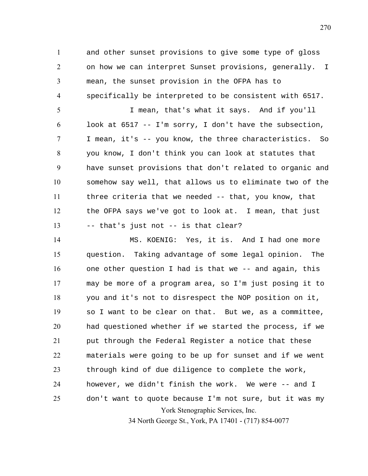and other sunset provisions to give some type of gloss on how we can interpret Sunset provisions, generally. I mean, the sunset provision in the OFPA has to specifically be interpreted to be consistent with 6517.

I mean, that's what it says. And if you'll 6 look at  $6517 - I'm$  sorry, I don't have the subsection, I mean, it's -- you know, the three characteristics. So you know, I don't think you can look at statutes that have sunset provisions that don't related to organic and somehow say well, that allows us to eliminate two of the three criteria that we needed -- that, you know, that the OFPA says we've got to look at. I mean, that just -- that's just not -- is that clear?

York Stenographic Services, Inc. MS. KOENIG: Yes, it is. And I had one more question. Taking advantage of some legal opinion. The one other question I had is that we -- and again, this may be more of a program area, so I'm just posing it to you and it's not to disrespect the NOP position on it, so I want to be clear on that. But we, as a committee, had questioned whether if we started the process, if we put through the Federal Register a notice that these materials were going to be up for sunset and if we went through kind of due diligence to complete the work, however, we didn't finish the work. We were -- and I don't want to quote because I'm not sure, but it was my

34 North George St., York, PA 17401 - (717) 854-0077